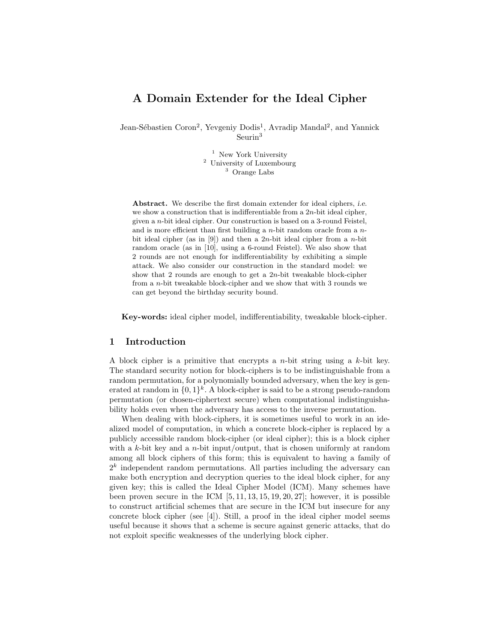# A Domain Extender for the Ideal Cipher

Jean-Sébastien Coron<sup>2</sup>, Yevgeniy Dodis<sup>1</sup>, Avradip Mandal<sup>2</sup>, and Yannick Seurin<sup>3</sup>

> <sup>1</sup> New York University <sup>2</sup> University of Luxembourg <sup>3</sup> Orange Labs

Abstract. We describe the first domain extender for ideal ciphers, *i.e.* we show a construction that is indifferentiable from a  $2n$ -bit ideal cipher, given a n-bit ideal cipher. Our construction is based on a 3-round Feistel, and is more efficient than first building a  $n$ -bit random oracle from a  $n$ bit ideal cipher (as in [9]) and then a 2n-bit ideal cipher from a n-bit random oracle (as in [10], using a 6-round Feistel). We also show that 2 rounds are not enough for indifferentiability by exhibiting a simple attack. We also consider our construction in the standard model: we show that 2 rounds are enough to get a  $2n$ -bit tweakable block-cipher from a n-bit tweakable block-cipher and we show that with 3 rounds we can get beyond the birthday security bound.

Key-words: ideal cipher model, indifferentiability, tweakable block-cipher.

## 1 Introduction

A block cipher is a primitive that encrypts a  $n$ -bit string using a  $k$ -bit key. The standard security notion for block-ciphers is to be indistinguishable from a random permutation, for a polynomially bounded adversary, when the key is generated at random in  $\{0,1\}^k$ . A block-cipher is said to be a strong pseudo-random permutation (or chosen-ciphertext secure) when computational indistinguishability holds even when the adversary has access to the inverse permutation.

When dealing with block-ciphers, it is sometimes useful to work in an idealized model of computation, in which a concrete block-cipher is replaced by a publicly accessible random block-cipher (or ideal cipher); this is a block cipher with a k-bit key and a n-bit input/output, that is chosen uniformly at random among all block ciphers of this form; this is equivalent to having a family of  $2<sup>k</sup>$  independent random permutations. All parties including the adversary can make both encryption and decryption queries to the ideal block cipher, for any given key; this is called the Ideal Cipher Model (ICM). Many schemes have been proven secure in the ICM  $[5, 11, 13, 15, 19, 20, 27]$ ; however, it is possible to construct artificial schemes that are secure in the ICM but insecure for any concrete block cipher (see [4]). Still, a proof in the ideal cipher model seems useful because it shows that a scheme is secure against generic attacks, that do not exploit specific weaknesses of the underlying block cipher.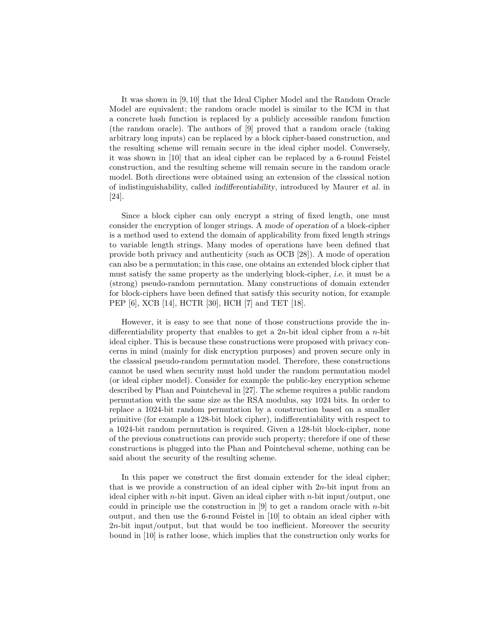It was shown in [9, 10] that the Ideal Cipher Model and the Random Oracle Model are equivalent; the random oracle model is similar to the ICM in that a concrete hash function is replaced by a publicly accessible random function (the random oracle). The authors of [9] proved that a random oracle (taking arbitrary long inputs) can be replaced by a block cipher-based construction, and the resulting scheme will remain secure in the ideal cipher model. Conversely, it was shown in [10] that an ideal cipher can be replaced by a 6-round Feistel construction, and the resulting scheme will remain secure in the random oracle model. Both directions were obtained using an extension of the classical notion of indistinguishability, called indifferentiability, introduced by Maurer et al. in [24].

Since a block cipher can only encrypt a string of fixed length, one must consider the encryption of longer strings. A mode of operation of a block-cipher is a method used to extend the domain of applicability from fixed length strings to variable length strings. Many modes of operations have been defined that provide both privacy and authenticity (such as OCB [28]). A mode of operation can also be a permutation; in this case, one obtains an extended block cipher that must satisfy the same property as the underlying block-cipher, i.e. it must be a (strong) pseudo-random permutation. Many constructions of domain extender for block-ciphers have been defined that satisfy this security notion, for example PEP [6], XCB [14], HCTR [30], HCH [7] and TET [18].

However, it is easy to see that none of those constructions provide the indifferentiability property that enables to get a  $2n$ -bit ideal cipher from a *n*-bit ideal cipher. This is because these constructions were proposed with privacy concerns in mind (mainly for disk encryption purposes) and proven secure only in the classical pseudo-random permutation model. Therefore, these constructions cannot be used when security must hold under the random permutation model (or ideal cipher model). Consider for example the public-key encryption scheme described by Phan and Pointcheval in [27]. The scheme requires a public random permutation with the same size as the RSA modulus, say 1024 bits. In order to replace a 1024-bit random permutation by a construction based on a smaller primitive (for example a 128-bit block cipher), indifferentiability with respect to a 1024-bit random permutation is required. Given a 128-bit block-cipher, none of the previous constructions can provide such property; therefore if one of these constructions is plugged into the Phan and Pointcheval scheme, nothing can be said about the security of the resulting scheme.

In this paper we construct the first domain extender for the ideal cipher; that is we provide a construction of an ideal cipher with  $2n$ -bit input from an ideal cipher with *n*-bit input. Given an ideal cipher with *n*-bit input/output, one could in principle use the construction in  $[9]$  to get a random oracle with *n*-bit output, and then use the 6-round Feistel in [10] to obtain an ideal cipher with  $2n$ -bit input/output, but that would be too inefficient. Moreover the security bound in [10] is rather loose, which implies that the construction only works for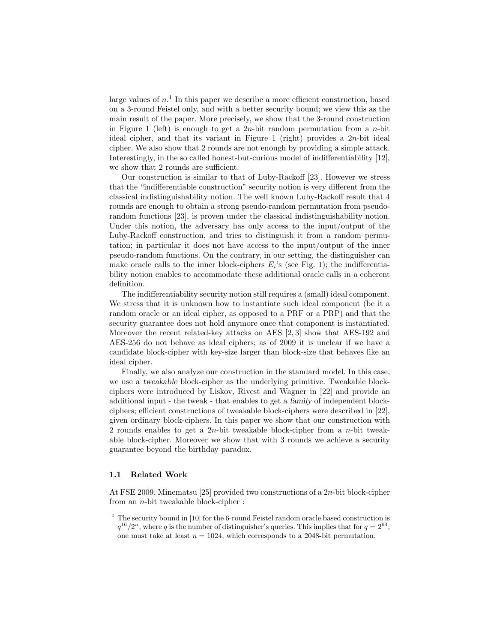large values of  $n<sup>1</sup>$ . In this paper we describe a more efficient construction, based on a 3-round Feistel only, and with a better security bound; we view this as the main result of the paper. More precisely, we show that the 3-round construction in Figure 1 (left) is enough to get a  $2n$ -bit random permutation from a *n*-bit ideal cipher, and that its variant in Figure 1 (right) provides a 2n-bit ideal cipher. We also show that 2 rounds are not enough by providing a simple attack. Interestingly, in the so called honest-but-curious model of indifferentiability [12], we show that 2 rounds are sufficient.

Our construction is similar to that of Luby-Rackoff [23]. However we stress that the "indifferentiable construction" security notion is very different from the classical indistinguishability notion. The well known Luby-Rackoff result that 4 rounds are enough to obtain a strong pseudo-random permutation from pseudorandom functions [23], is proven under the classical indistinguishability notion. Under this notion, the adversary has only access to the input/output of the Luby-Rackoff construction, and tries to distinguish it from a random permutation; in particular it does not have access to the input/output of the inner pseudo-random functions. On the contrary, in our setting, the distinguisher can make oracle calls to the inner block-ciphers  $E_i$ 's (see Fig. 1); the indifferentiability notion enables to accommodate these additional oracle calls in a coherent definition.

The indifferentiability security notion still requires a (small) ideal component. We stress that it is unknown how to instantiate such ideal component (be it a random oracle or an ideal cipher, as opposed to a PRF or a PRP) and that the security guarantee does not hold anymore once that component is instantiated. Moreover the recent related-key attacks on AES [2, 3] show that AES-192 and AES-256 do not behave as ideal ciphers; as of 2009 it is unclear if we have a candidate block-cipher with key-size larger than block-size that behaves like an ideal cipher.

Finally, we also analyze our construction in the standard model. In this case, we use a tweakable block-cipher as the underlying primitive. Tweakable blockciphers were introduced by Liskov, Rivest and Wagner in [22] and provide an additional input - the tweak - that enables to get a family of independent blockciphers; efficient constructions of tweakable block-ciphers were described in [22], given ordinary block-ciphers. In this paper we show that our construction with 2 rounds enables to get a 2n-bit tweakable block-cipher from a n-bit tweakable block-cipher. Moreover we show that with 3 rounds we achieve a security guarantee beyond the birthday paradox.

#### 1.1 Related Work

At FSE 2009, Minematsu [25] provided two constructions of a 2n-bit block-cipher from an n-bit tweakable block-cipher :

 $1$  The security bound in [10] for the 6-round Feistel random oracle based construction is  $q^{16}/2^n$ , where q is the number of distinguisher's queries. This implies that for  $q = 2^{64}$ , one must take at least  $n = 1024$ , which corresponds to a 2048-bit permutation.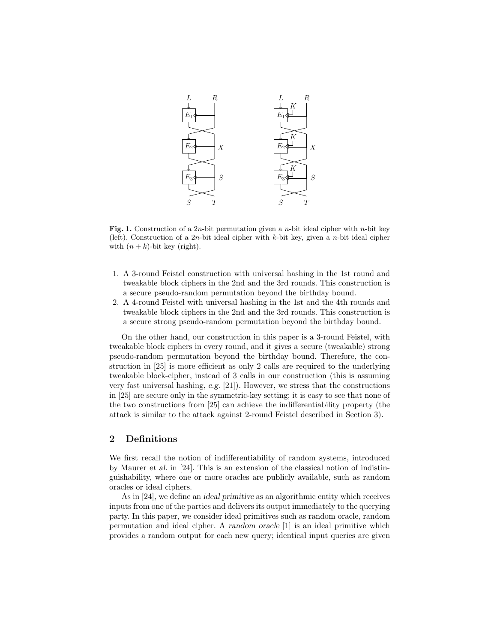

**Fig. 1.** Construction of a 2*n*-bit permutation given a *n*-bit ideal cipher with *n*-bit key (left). Construction of a  $2n$ -bit ideal cipher with k-bit key, given a n-bit ideal cipher with  $(n + k)$ -bit key (right).

- 1. A 3-round Feistel construction with universal hashing in the 1st round and tweakable block ciphers in the 2nd and the 3rd rounds. This construction is a secure pseudo-random permutation beyond the birthday bound.
- 2. A 4-round Feistel with universal hashing in the 1st and the 4th rounds and tweakable block ciphers in the 2nd and the 3rd rounds. This construction is a secure strong pseudo-random permutation beyond the birthday bound.

On the other hand, our construction in this paper is a 3-round Feistel, with tweakable block ciphers in every round, and it gives a secure (tweakable) strong pseudo-random permutation beyond the birthday bound. Therefore, the construction in [25] is more efficient as only 2 calls are required to the underlying tweakable block-cipher, instead of 3 calls in our construction (this is assuming very fast universal hashing, e.g. [21]). However, we stress that the constructions in [25] are secure only in the symmetric-key setting; it is easy to see that none of the two constructions from [25] can achieve the indifferentiability property (the attack is similar to the attack against 2-round Feistel described in Section 3).

# 2 Definitions

We first recall the notion of indifferentiability of random systems, introduced by Maurer et al. in [24]. This is an extension of the classical notion of indistinguishability, where one or more oracles are publicly available, such as random oracles or ideal ciphers.

As in [24], we define an ideal primitive as an algorithmic entity which receives inputs from one of the parties and delivers its output immediately to the querying party. In this paper, we consider ideal primitives such as random oracle, random permutation and ideal cipher. A random oracle [1] is an ideal primitive which provides a random output for each new query; identical input queries are given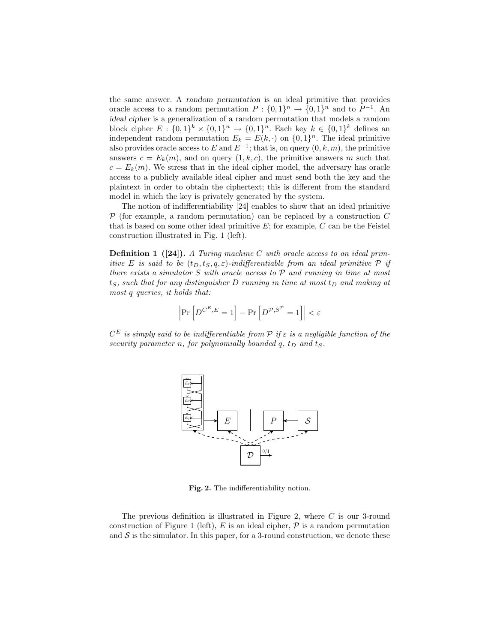the same answer. A random permutation is an ideal primitive that provides oracle access to a random permutation  $P: \{0,1\}^n \to \{0,1\}^n$  and to  $P^{-1}$ . An ideal cipher is a generalization of a random permutation that models a random block cipher  $E: \{0,1\}^k \times \{0,1\}^n \rightarrow \{0,1\}^n$ . Each key  $k \in \{0,1\}^k$  defines an independent random permutation  $E_k = E(k, \cdot)$  on  $\{0, 1\}^n$ . The ideal primitive also provides oracle access to E and  $E^{-1}$ ; that is, on query  $(0, k, m)$ , the primitive answers  $c = E_k(m)$ , and on query  $(1, k, c)$ , the primitive answers m such that  $c = E_k(m)$ . We stress that in the ideal cipher model, the adversary has oracle access to a publicly available ideal cipher and must send both the key and the plaintext in order to obtain the ciphertext; this is different from the standard model in which the key is privately generated by the system.

The notion of indifferentiability [24] enables to show that an ideal primitive  $\mathcal P$  (for example, a random permutation) can be replaced by a construction C that is based on some other ideal primitive  $E$ ; for example,  $C$  can be the Feistel construction illustrated in Fig. 1 (left).

Definition 1 ([24]). *A Turing machine* C *with oracle access to an ideal primitive* E *is said to be*  $(t_D, t_S, q, \varepsilon)$ *-indifferentiable from an ideal primitive* P *if there exists a simulator* S *with oracle access to* P *and running in time at most*  $t<sub>S</sub>$ , such that for any distinguisher D running in time at most  $t<sub>D</sub>$  and making at *most* q *queries, it holds that:*

$$
\left|\Pr\left[D^{C^E, E} = 1\right] - \Pr\left[D^{\mathcal{P}, S^{\mathcal{P}}} = 1\right]\right| < \varepsilon
$$

 $C^E$  *is simply said to be indifferentiable from*  $P$  *if*  $\varepsilon$  *is a negligible function of the security parameter n, for polynomially bounded*  $q$ *,*  $t_D$  *and*  $t_S$ *.* 



Fig. 2. The indifferentiability notion.

The previous definition is illustrated in Figure 2, where C is our 3-round construction of Figure 1 (left),  $E$  is an ideal cipher,  $P$  is a random permutation and  $S$  is the simulator. In this paper, for a 3-round construction, we denote these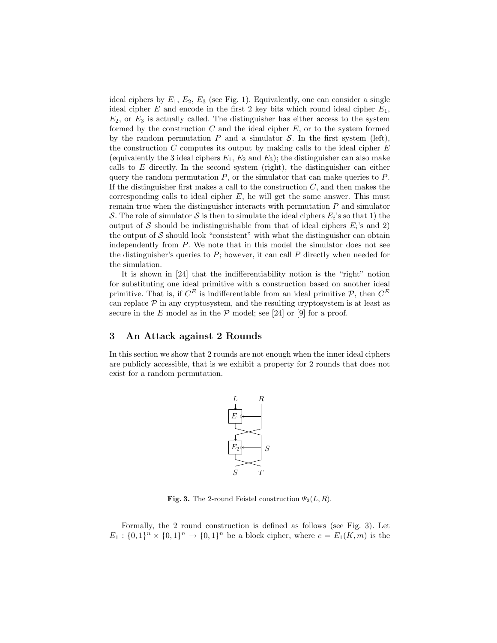ideal ciphers by  $E_1, E_2, E_3$  (see Fig. 1). Equivalently, one can consider a single ideal cipher  $E$  and encode in the first 2 key bits which round ideal cipher  $E_1$ ,  $E_2$ , or  $E_3$  is actually called. The distinguisher has either access to the system formed by the construction  $C$  and the ideal cipher  $E$ , or to the system formed by the random permutation  $P$  and a simulator  $S$ . In the first system (left), the construction  $C$  computes its output by making calls to the ideal cipher  $E$ (equivalently the 3 ideal ciphers  $E_1, E_2$  and  $E_3$ ); the distinguisher can also make calls to  $E$  directly. In the second system (right), the distinguisher can either query the random permutation  $P$ , or the simulator that can make queries to  $P$ . If the distinguisher first makes a call to the construction  $C$ , and then makes the corresponding calls to ideal cipher  $E$ , he will get the same answer. This must remain true when the distinguisher interacts with permutation  $P$  and simulator S. The role of simulator S is then to simulate the ideal ciphers  $E_i$ 's so that 1) the output of S should be indistinguishable from that of ideal ciphers  $E_i$ 's and 2) the output of  $S$  should look "consistent" with what the distinguisher can obtain independently from P. We note that in this model the simulator does not see the distinguisher's queries to  $P$ ; however, it can call  $P$  directly when needed for the simulation.

It is shown in [24] that the indifferentiability notion is the "right" notion for substituting one ideal primitive with a construction based on another ideal primitive. That is, if  $C^E$  is indifferentiable from an ideal primitive  $P$ , then  $C^E$ can replace  $P$  in any cryptosystem, and the resulting cryptosystem is at least as secure in the E model as in the  $P$  model; see [24] or [9] for a proof.

# 3 An Attack against 2 Rounds

In this section we show that 2 rounds are not enough when the inner ideal ciphers are publicly accessible, that is we exhibit a property for 2 rounds that does not exist for a random permutation.



Fig. 3. The 2-round Feistel construction  $\Psi_2(L, R)$ .

Formally, the 2 round construction is defined as follows (see Fig. 3). Let  $E_1: \{0,1\}^n \times \{0,1\}^n \to \{0,1\}^n$  be a block cipher, where  $c = E_1(K,m)$  is the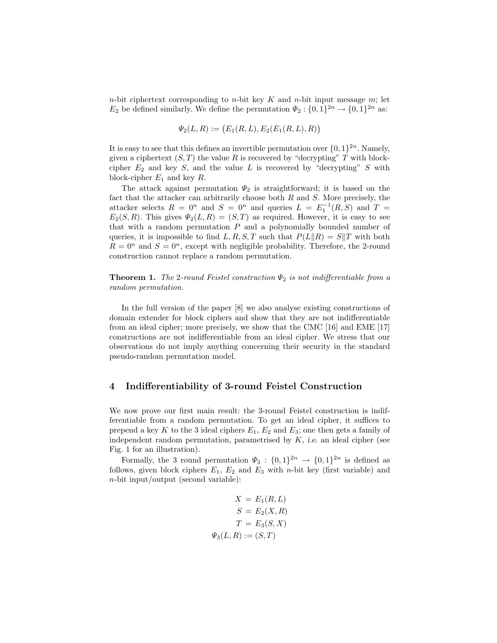$n$ -bit ciphertext corresponding to  $n$ -bit key  $K$  and  $n$ -bit input message  $m$ ; let  $E_2$  be defined similarly. We define the permutation  $\Psi_2: \{0,1\}^{2n} \to \{0,1\}^{2n}$  as:

$$
\Psi_2(L, R) := (E_1(R, L), E_2(E_1(R, L), R))
$$

It is easy to see that this defines an invertible permutation over  $\{0,1\}^{2n}$ . Namely, given a ciphertext  $(S, T)$  the value R is recovered by "decrypting" T with blockcipher  $E_2$  and key S, and the value L is recovered by "decrypting" S with block-cipher  $E_1$  and key  $R$ .

The attack against permutation  $\Psi_2$  is straightforward; it is based on the fact that the attacker can arbitrarily choose both  $R$  and  $S$ . More precisely, the attacker selects  $R = 0^n$  and  $S = 0^n$  and queries  $L = E_1^{-1}(R, S)$  and  $T =$  $E_2(S, R)$ . This gives  $\Psi_2(L, R) = (S, T)$  as required. However, it is easy to see that with a random permutation  $P$  and a polynomially bounded number of queries, it is impossible to find L, R, S, T such that  $P(L||R) = S||T$  with both  $R = 0^n$  and  $S = 0^n$ , except with negligible probability. Therefore, the 2-round construction cannot replace a random permutation.

**Theorem 1.** *The* 2*-round Feistel construction*  $\Psi_2$  *is not indifferentiable from a random permutation.*

In the full version of the paper [8] we also analyse existing constructions of domain extender for block ciphers and show that they are not indifferentiable from an ideal cipher; more precisely, we show that the CMC [16] and EME [17] constructions are not indifferentiable from an ideal cipher. We stress that our observations do not imply anything concerning their security in the standard pseudo-random permutation model.

# 4 Indifferentiability of 3-round Feistel Construction

We now prove our first main result: the 3-round Feistel construction is indifferentiable from a random permutation. To get an ideal cipher, it suffices to prepend a key K to the 3 ideal ciphers  $E_1, E_2$  and  $E_3$ ; one then gets a family of independent random permutation, parametrised by  $K$ , *i.e.* an ideal cipher (see Fig. 1 for an illustration).

Formally, the 3 round permutation  $\Psi_3: \{0,1\}^{2n} \to \{0,1\}^{2n}$  is defined as follows, given block ciphers  $E_1$ ,  $E_2$  and  $E_3$  with *n*-bit key (first variable) and n-bit input/output (second variable):

$$
X = E_1(R, L)
$$

$$
S = E_2(X, R)
$$

$$
T = E_3(S, X)
$$

$$
\Psi_3(L, R) := (S, T)
$$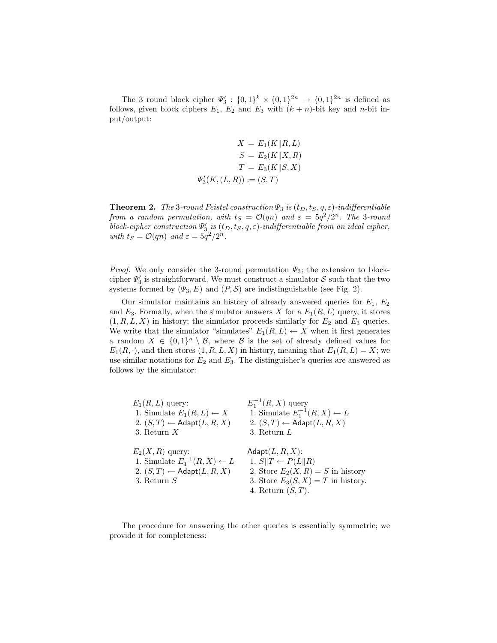The 3 round block cipher  $\Psi'_3$ :  $\{0,1\}^k \times \{0,1\}^{2n} \to \{0,1\}^{2n}$  is defined as follows, given block ciphers  $E_1$ ,  $E_2$  and  $E_3$  with  $(k + n)$ -bit key and n-bit input/output:

$$
X = E_1(K||R, L)
$$

$$
S = E_2(K||X, R)
$$

$$
T = E_3(K||S, X)
$$

$$
\Psi_3'(K, (L, R)) := (S, T)
$$

**Theorem 2.** *The* 3*-round Feistel construction*  $\Psi_3$  *is*  $(t_D, t_S, q, \varepsilon)$ *-indifferentiable from a random permutation, with*  $t_S = \mathcal{O}(qn)$  *and*  $\varepsilon = 5q^2/2^n$ . The 3-round  $\emph{block-cipher construction $\Psi_3'$ is $(t_D,t_S,q,\varepsilon)$-indifferentiable from an ideal cipher,}$ *with*  $t_S = \mathcal{O}(qn)$  *and*  $\varepsilon = 5q^2/2^n$ *.* 

*Proof.* We only consider the 3-round permutation  $\Psi_3$ ; the extension to blockcipher  $\Psi'_3$  is straightforward. We must construct a simulator  ${\cal S}$  such that the two systems formed by  $(\Psi_3, E)$  and  $(P, S)$  are indistinguishable (see Fig. 2).

Our simulator maintains an history of already answered queries for  $E_1, E_2$ and  $E_3$ . Formally, when the simulator answers X for a  $E_1(R, L)$  query, it stores  $(1, R, L, X)$  in history; the simulator proceeds similarly for  $E_2$  and  $E_3$  queries. We write that the simulator "simulates"  $E_1(R, L) \leftarrow X$  when it first generates a random  $X \in \{0,1\}^n \setminus \mathcal{B}$ , where  $\mathcal{B}$  is the set of already defined values for  $E_1(R, \cdot)$ , and then stores  $(1, R, L, X)$  in history, meaning that  $E_1(R, L) = X$ ; we use similar notations for  $E_2$  and  $E_3$ . The distinguisher's queries are answered as follows by the simulator:

| $E_1(R,L)$ query:                                                                                                           | $E_1^{-1}(R, X)$ query                                                                                                                                   |
|-----------------------------------------------------------------------------------------------------------------------------|----------------------------------------------------------------------------------------------------------------------------------------------------------|
| 1. Simulate $E_1(R,L) \leftarrow X$                                                                                         | 1. Simulate $E_1^{-1}(R, X) \leftarrow L$                                                                                                                |
| 2. $(S, T) \leftarrow$ Adapt $(L, R, X)$                                                                                    | 2. $(S, T) \leftarrow$ Adapt $(L, R, X)$                                                                                                                 |
| 3. Return $X$                                                                                                               | 3. Return $L$                                                                                                                                            |
| $E_2(X,R)$ query:<br>1. Simulate $E_1^{-1}(R, X) \leftarrow L$<br>2. $(S, T) \leftarrow$ Adapt $(L, R, X)$<br>3. Return $S$ | Adapt $(L, R, X)$ :<br>1. $S  T \leftarrow P(L  R)$<br>2. Store $E_2(X,R) = S$ in history<br>3. Store $E_3(S, X) = T$ in history.<br>4. Return $(S,T)$ . |

The procedure for answering the other queries is essentially symmetric; we provide it for completeness: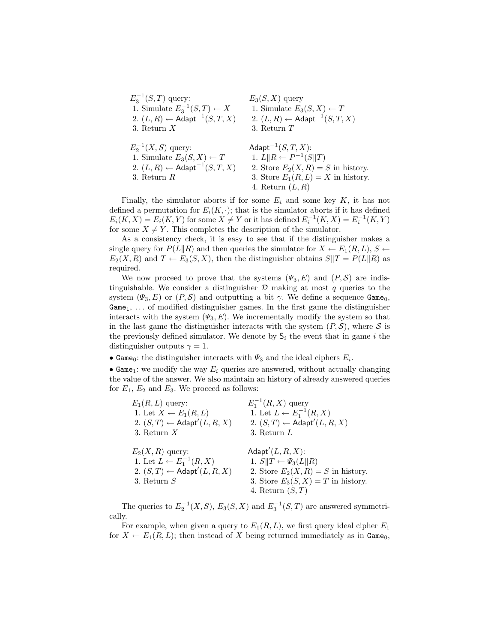| $E_3^{-1}(S,T)$ query:                                                                                                                     | $E_3(S, X)$ query                                                                                                                                                                       |
|--------------------------------------------------------------------------------------------------------------------------------------------|-----------------------------------------------------------------------------------------------------------------------------------------------------------------------------------------|
| 1. Simulate $E_3^{-1}(S,T) \leftarrow X$                                                                                                   | 1. Simulate $E_3(S, X) \leftarrow T$                                                                                                                                                    |
| 2. $(L, R) \leftarrow$ Adapt <sup>-1</sup> $(S, T, X)$                                                                                     | 2. $(L, R) \leftarrow$ Adapt <sup>-1</sup> $(S, T, X)$                                                                                                                                  |
| 3. Return $X$                                                                                                                              | 3. Return $T$                                                                                                                                                                           |
| $E_2^{-1}(X, S)$ query:<br>1. Simulate $E_3(S, X) \leftarrow T$<br>2. $(L, R) \leftarrow$ Adapt <sup>-1</sup> $(S, T, X)$<br>3. Return $R$ | Adapt <sup><math>-1</math></sup> $(S, T, X)$ :<br>1. $L  R \leftarrow P^{-1}(S  T)$<br>2. Store $E_2(X,R) = S$ in history.<br>3. Store $E_1(R,L) = X$ in history.<br>4. Return $(L, R)$ |

Finally, the simulator aborts if for some  $E_i$  and some key K, it has not defined a permutation for  $E_i(K, \cdot)$ ; that is the simulator aborts if it has defined  $E_i(K, X) = E_i(K, Y)$  for some  $X \neq Y$  or it has defined  $E_i^{-1}(K, X) = E_i^{-1}(K, Y)$ for some  $X \neq Y$ . This completes the description of the simulator.

As a consistency check, it is easy to see that if the distinguisher makes a single query for  $P(L||R)$  and then queries the simulator for  $X \leftarrow E_1(R, L), S \leftarrow$  $E_2(X, R)$  and  $T \leftarrow E_3(S, X)$ , then the distinguisher obtains  $S||T = P(L||R)$  as required.

We now proceed to prove that the systems  $(\Psi_3, E)$  and  $(P, S)$  are indistinguishable. We consider a distinguisher  $D$  making at most  $q$  queries to the system  $(\Psi_3, E)$  or  $(P, S)$  and outputting a bit  $\gamma$ . We define a sequence Game<sub>0</sub>,  $Game<sub>1</sub>, \ldots$  of modified distinguisher games. In the first game the distinguisher interacts with the system  $(\Psi_3, E)$ . We incrementally modify the system so that in the last game the distinguisher interacts with the system  $(P, S)$ , where S is the previously defined simulator. We denote by  $S_i$  the event that in game i the distinguisher outputs  $\gamma = 1$ .

• Game<sub>0</sub>: the distinguisher interacts with  $\Psi_3$  and the ideal ciphers  $E_i$ .

• Game<sub>1</sub>: we modify the way  $E_i$  queries are answered, without actually changing the value of the answer. We also maintain an history of already answered queries for  $E_1$ ,  $E_2$  and  $E_3$ . We proceed as follows:

| $E_1(R,L)$ query:                                                                                                       | $E_1^{-1}(R,X)$ query                                                                                                                                         |
|-------------------------------------------------------------------------------------------------------------------------|---------------------------------------------------------------------------------------------------------------------------------------------------------------|
| 1. Let $X \leftarrow E_1(R, L)$                                                                                         | 1. Let $L \leftarrow E_1^{-1}(R, X)$                                                                                                                          |
| 2. $(S,T) \leftarrow$ Adapt' $(L, R, X)$                                                                                | 2. $(S, T) \leftarrow$ Adapt' $(L, R, X)$                                                                                                                     |
| 3. Return $X$                                                                                                           | 3. Return $L$                                                                                                                                                 |
| $E_2(X,R)$ query:<br>1. Let $L \leftarrow E_1^{-1}(R, X)$<br>2. $(S, T) \leftarrow$ Adapt' $(L, R, X)$<br>3. Return $S$ | Adapt' $(L, R, X)$ :<br>1. $S  T \leftarrow \Psi_3(L  R)$<br>2. Store $E_2(X,R) = S$ in history.<br>3. Store $E_3(S, X) = T$ in history.<br>4. Return $(S,T)$ |

The queries to  $E_2^{-1}(X, S)$ ,  $E_3(S, X)$  and  $E_3^{-1}(S, T)$  are answered symmetrically.

For example, when given a query to  $E_1(R, L)$ , we first query ideal cipher  $E_1$ for  $X \leftarrow E_1(R, L)$ ; then instead of X being returned immediately as in Game<sub>0</sub>,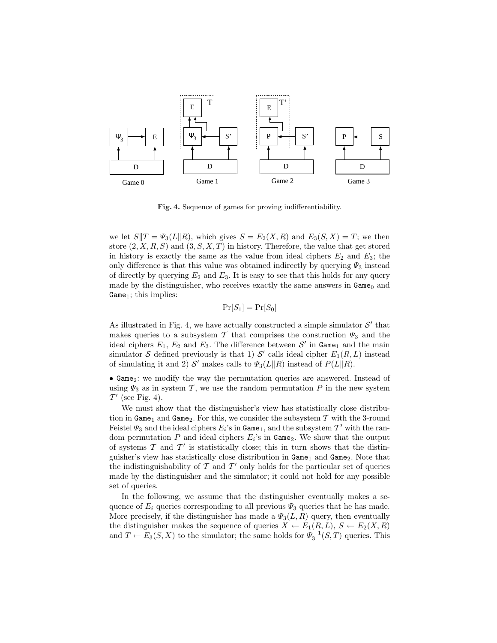

Fig. 4. Sequence of games for proving indifferentiability.

we let  $S||T = \Psi_3(L||R)$ , which gives  $S = E_2(X, R)$  and  $E_3(S, X) = T$ ; we then store  $(2, X, R, S)$  and  $(3, S, X, T)$  in history. Therefore, the value that get stored in history is exactly the same as the value from ideal ciphers  $E_2$  and  $E_3$ ; the only difference is that this value was obtained indirectly by querying  $\Psi_3$  instead of directly by querying  $E_2$  and  $E_3$ . It is easy to see that this holds for any query made by the distinguisher, who receives exactly the same answers in  $Game_0$  and Game<sub>1</sub>; this implies:

$$
\Pr[S_1] = \Pr[S_0]
$$

As illustrated in Fig. 4, we have actually constructed a simple simulator  $\mathcal{S}'$  that makes queries to a subsystem  $\mathcal T$  that comprises the construction  $\Psi_3$  and the ideal ciphers  $E_1, E_2$  and  $E_3$ . The difference between  $\mathcal{S}'$  in Game<sub>1</sub> and the main simulator S defined previously is that 1) S' calls ideal cipher  $E_1(R, L)$  instead of simulating it and 2)  $S'$  makes calls to  $\Psi_3(L||R)$  instead of  $P(L||R)$ .

• Game<sub>2</sub>: we modify the way the permutation queries are answered. Instead of using  $\Psi_3$  as in system T, we use the random permutation P in the new system  $\mathcal{T}'$  (see Fig. 4).

We must show that the distinguisher's view has statistically close distribution in Game<sub>1</sub> and Game<sub>2</sub>. For this, we consider the subsystem  $\mathcal T$  with the 3-round Feistel  $\Psi_3$  and the ideal ciphers  $E_i$ 's in  $\texttt{Game}_1$ , and the subsystem  $\mathcal{T}'$  with the random permutation  $P$  and ideal ciphers  $E_i$ 's in  $Game_2$ . We show that the output of systems  $\mathcal T$  and  $\mathcal T'$  is statistically close; this in turn shows that the distinguisher's view has statistically close distribution in  $Game_1$  and  $Game_2$ . Note that the indistinguishability of  $\mathcal T$  and  $\mathcal T'$  only holds for the particular set of queries made by the distinguisher and the simulator; it could not hold for any possible set of queries.

In the following, we assume that the distinguisher eventually makes a sequence of  $E_i$  queries corresponding to all previous  $\Psi_3$  queries that he has made. More precisely, if the distinguisher has made a  $\Psi_3(L, R)$  query, then eventually the distinguisher makes the sequence of queries  $X \leftarrow E_1(R, L), S \leftarrow E_2(X, R)$ and  $T \leftarrow E_3(S, X)$  to the simulator; the same holds for  $\Psi_3^{-1}(S, T)$  queries. This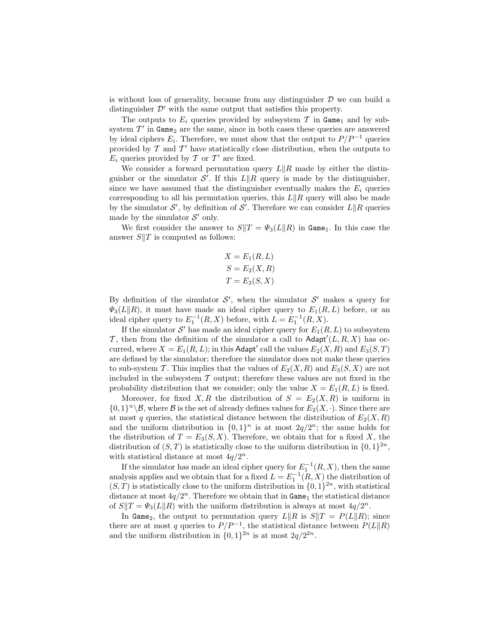is without loss of generality, because from any distinguisher  $\mathcal D$  we can build a distinguisher  $\mathcal{D}'$  with the same output that satisfies this property.

The outputs to  $E_i$  queries provided by subsystem  $\mathcal T$  in  $\texttt{Game}_1$  and by subsystem  $T'$  in  $Game<sub>2</sub>$  are the same, since in both cases these queries are answered by ideal ciphers  $E_i$ . Therefore, we must show that the output to  $P/P^{-1}$  queries provided by  $\mathcal T$  and  $\mathcal T'$  have statistically close distribution, when the outputs to  $E_i$  queries provided by  $\mathcal T$  or  $\mathcal T'$  are fixed.

We consider a forward permutation query  $L\|R\|$  made by either the distinguisher or the simulator  $\mathcal{S}'$ . If this  $L\|R$  query is made by the distinguisher, since we have assumed that the distinguisher eventually makes the  $E_i$  queries corresponding to all his permutation queries, this  $L\|R$  query will also be made by the simulator  $\mathcal{S}'$ , by definition of  $\mathcal{S}'$ . Therefore we can consider  $L||R$  queries made by the simulator  $\mathcal{S}'$  only.

We first consider the answer to  $S||T = \Psi_3(L||R)$  in Game<sub>1</sub>. In this case the answer  $S||T$  is computed as follows:

$$
X = E_1(R, L)
$$
  
\n
$$
S = E_2(X, R)
$$
  
\n
$$
T = E_3(S, X)
$$

By definition of the simulator  $\mathcal{S}'$ , when the simulator  $\mathcal{S}'$  makes a query for  $\Psi_3(L||R)$ , it must have made an ideal cipher query to  $E_1(R, L)$  before, or an ideal cipher query to  $E_1^{-1}(R, X)$  before, with  $L = E_1^{-1}(R, X)$ .

If the simulator  $\mathcal{S}'$  has made an ideal cipher query for  $E_1(R, L)$  to subsystem T, then from the definition of the simulator a call to Adapt<sup>'</sup> $(L, R, X)$  has occurred, where  $X=E_1(R,L);$  in this Adapt' call the values  $E_2(X,R)$  and  $E_3(S,T)$ are defined by the simulator; therefore the simulator does not make these queries to sub-system T. This implies that the values of  $E_2(X, R)$  and  $E_3(S, X)$  are not included in the subsystem  $T$  output; therefore these values are not fixed in the probability distribution that we consider; only the value  $X = E_1(R, L)$  is fixed.

Moreover, for fixed X, R the distribution of  $S = E_2(X, R)$  is uniform in  $\{0,1\}^n\setminus\mathcal{B}$ , where  $\mathcal B$  is the set of already defines values for  $E_2(X, \cdot)$ . Since there are at most q queries, the statistical distance between the distribution of  $E_2(X, R)$ and the uniform distribution in  $\{0,1\}^n$  is at most  $2q/2^n$ ; the same holds for the distribution of  $T = E_3(S, X)$ . Therefore, we obtain that for a fixed X, the distribution of  $(S, T)$  is statistically close to the uniform distribution in  $\{0, 1\}^{2n}$ , with statistical distance at most  $4q/2^n$ .

If the simulator has made an ideal cipher query for  $E_1^{-1}(R, X)$ , then the same analysis applies and we obtain that for a fixed  $L = E_1^{-1}(R, X)$  the distribution of  $(S, T)$  is statistically close to the uniform distribution in  $\{0, 1\}^{2n}$ , with statistical distance at most  $4q/2^n$ . Therefore we obtain that in  $\texttt{Game}_1$  the statistical distance of  $S||T = \Psi_3(L||R)$  with the uniform distribution is always at most  $4q/2^n$ .

In Game<sub>2</sub>, the output to permutation query  $L\|R$  is  $S\|T = P(L\|R)$ ; since there are at most q queries to  $P/P^{-1}$ , the statistical distance between  $P(L||R)$ and the uniform distribution in  $\{0,1\}^{2n}$  is at most  $2q/2^{2n}$ .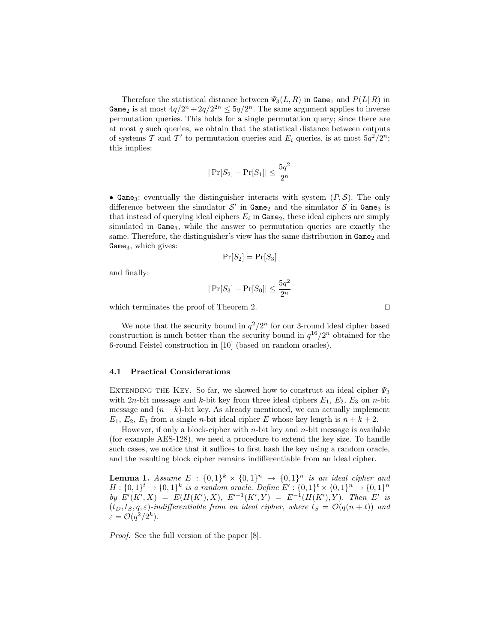Therefore the statistical distance between  $\Psi_3(L, R)$  in Game<sub>1</sub> and  $P(L||R)$  in Game<sub>2</sub> is at most  $4q/2^n + 2q/2^{2n} \leq 5q/2^n$ . The same argument applies to inverse permutation queries. This holds for a single permutation query; since there are at most  $q$  such queries, we obtain that the statistical distance between outputs of systems T and T' to permutation queries and  $E_i$  queries, is at most  $5q^2/2^n$ ; this implies:

$$
|\Pr[S_2] - \Pr[S_1]| \le \frac{5q^2}{2^n}
$$

• Game<sub>3</sub>: eventually the distinguisher interacts with system  $(P, S)$ . The only difference between the simulator  $\mathcal{S}'$  in Game<sub>2</sub> and the simulator  $\mathcal{S}$  in Game<sub>3</sub> is that instead of querying ideal ciphers  $E_i$  in  $Game_2$ , these ideal ciphers are simply simulated in Game<sub>3</sub>, while the answer to permutation queries are exactly the same. Therefore, the distinguisher's view has the same distribution in  $Game_2$  and Game<sub>3</sub>, which gives:

$$
\Pr[S_2] = \Pr[S_3]
$$

and finally:

$$
|\Pr[S_3] - \Pr[S_0]| \le \frac{5q^2}{2^n}
$$

which terminates the proof of Theorem 2. □

We note that the security bound in  $q^2/2^n$  for our 3-round ideal cipher based construction is much better than the security bound in  $q^{16}/2^n$  obtained for the 6-round Feistel construction in [10] (based on random oracles).

#### 4.1 Practical Considerations

EXTENDING THE KEY. So far, we showed how to construct an ideal cipher  $\Psi_3$ with 2n-bit message and k-bit key from three ideal ciphers  $E_1$ ,  $E_2$ ,  $E_3$  on n-bit message and  $(n + k)$ -bit key. As already mentioned, we can actually implement  $E_1, E_2, E_3$  from a single *n*-bit ideal cipher E whose key length is  $n + k + 2$ .

However, if only a block-cipher with  $n$ -bit key and  $n$ -bit message is available (for example AES-128), we need a procedure to extend the key size. To handle such cases, we notice that it suffices to first hash the key using a random oracle, and the resulting block cipher remains indifferentiable from an ideal cipher.

**Lemma 1.** Assume  $E : \{0,1\}^k \times \{0,1\}^n \rightarrow \{0,1\}^n$  is an ideal cipher and  $H: \{0,1\}^t \to \{0,1\}^k$  is a random oracle. Define  $E': \{0,1\}^t \times \{0,1\}^n \to \{0,1\}^n$ *by*  $E'(K', X) = E(H(K'), X), E'^{-1}(K', Y) = E^{-1}(H(K'), Y)$ *. Then* E' is  $(t_D, t_S, q, \varepsilon)$ -indifferentiable from an ideal cipher, where  $t_S = \mathcal{O}(q(n + t))$  and  $\varepsilon = \mathcal{O}(q^2/2^k).$ 

*Proof.* See the full version of the paper [8].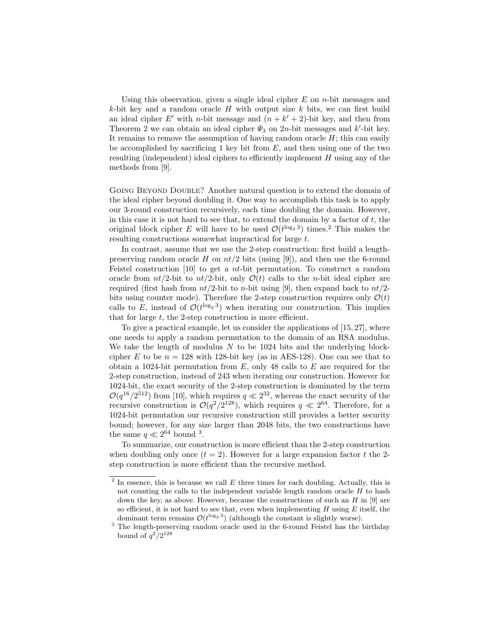Using this observation, given a single ideal cipher  $E$  on *n*-bit messages and k-bit key and a random oracle  $H$  with output size  $k$  bits, we can first build an ideal cipher E' with n-bit message and  $(n + k' + 2)$ -bit key, and then from Theorem 2 we can obtain an ideal cipher  $\Psi_3$  on 2n-bit messages and k'-bit key. It remains to remove the assumption of having random oracle  $H$ ; this can easily be accomplished by sacrificing 1 key bit from  $E$ , and then using one of the two resulting (independent) ideal ciphers to efficiently implement  $H$  using any of the methods from [9].

Going Beyond Double? Another natural question is to extend the domain of the ideal cipher beyond doubling it. One way to accomplish this task is to apply our 3-round construction recursively, each time doubling the domain. However, in this case it is not hard to see that, to extend the domain by a factor of  $t$ , the original block cipher E will have to be used  $\mathcal{O}(t^{\log_2 3})$  times.<sup>2</sup> This makes the resulting constructions somewhat impractical for large t.

In contrast, assume that we use the 2-step construction: first build a lengthpreserving random oracle H on  $nt/2$  bits (using [9]), and then use the 6-round Feistel construction [10] to get a nt-bit permutation. To construct a random oracle from  $nt/2$ -bit to  $nt/2$ -bit, only  $\mathcal{O}(t)$  calls to the *n*-bit ideal cipher are required (first hash from  $nt/2$ -bit to *n*-bit using [9], then expand back to  $nt/2$ bits using counter mode). Therefore the 2-step construction requires only  $\mathcal{O}(t)$ calls to E, instead of  $\mathcal{O}(t^{\log_2 3})$  when iterating our construction. This implies that for large  $t$ , the 2-step construction is more efficient.

To give a practical example, let us consider the applications of [15, 27], where one needs to apply a random permutation to the domain of an RSA modulus. We take the length of modulus  $N$  to be 1024 bits and the underlying blockcipher E to be  $n = 128$  with 128-bit key (as in AES-128). One can see that to obtain a 1024-bit permutation from  $E$ , only 48 calls to  $E$  are required for the 2-step construction, instead of 243 when iterating our construction. However for 1024-bit, the exact security of the 2-step construction is dominated by the term  $\mathcal{O}(q^{16}/2^{512})$  from [10], which requires  $q \ll 2^{32}$ , whereas the exact security of the recursive construction is  $\mathcal{O}(q^2/2^{128})$ , which requires  $q \ll 2^{64}$ . Therefore, for a 1024-bit permutation our recursive construction still provides a better security bound; however, for any size larger than 2048 bits, the two constructions have the same  $q \ll 2^{64}$  bound <sup>3</sup>.

To summarize, our construction is more efficient than the 2-step construction when doubling only once  $(t = 2)$ . However for a large expansion factor t the 2step construction is more efficient than the recursive method.

 $2$  In essence, this is because we call  $E$  three times for each doubling. Actually, this is not counting the calls to the independent variable length random oracle  $H$  to hash down the key, as above. However, because the constructions of such an  $H$  in [9] are so efficient, it is not hard to see that, even when implementing  $H$  using  $E$  itself, the dominant term remains  $\mathcal{O}(t^{\log_2 3})$  (although the constant is slightly worse).

 $3$  The length-preserving random oracle used in the 6-round Feistel has the birthday bound of  $q^2/2^{128}$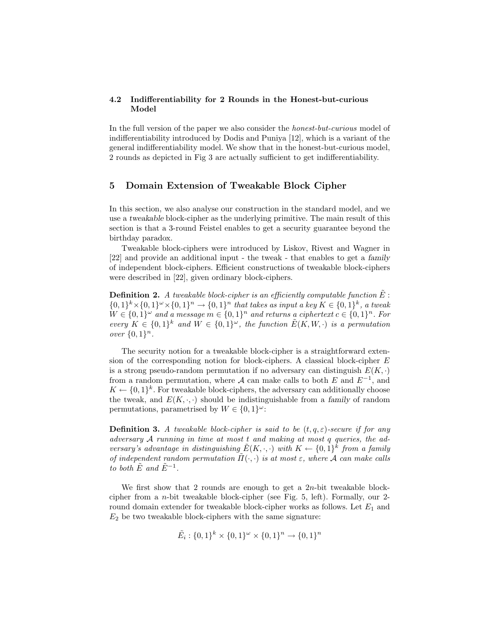## 4.2 Indifferentiability for 2 Rounds in the Honest-but-curious Model

In the full version of the paper we also consider the *honest-but-curious* model of indifferentiability introduced by Dodis and Puniya [12], which is a variant of the general indifferentiability model. We show that in the honest-but-curious model, 2 rounds as depicted in Fig 3 are actually sufficient to get indifferentiability.

# 5 Domain Extension of Tweakable Block Cipher

In this section, we also analyse our construction in the standard model, and we use a tweakable block-cipher as the underlying primitive. The main result of this section is that a 3-round Feistel enables to get a security guarantee beyond the birthday paradox.

Tweakable block-ciphers were introduced by Liskov, Rivest and Wagner in [22] and provide an additional input - the tweak - that enables to get a family of independent block-ciphers. Efficient constructions of tweakable block-ciphers were described in [22], given ordinary block-ciphers.

**Definition 2.** A tweakable block-cipher is an efficiently computable function  $\tilde{E}$ :  $\{0,1\}^k \times \{0,1\}^{\omega} \times \{0,1\}^n \to \{0,1\}^n$  that takes as input a key  $K \in \{0,1\}^k$ , a tweak  $W \in \{0,1\}^{\omega}$  and a message  $m \in \{0,1\}^n$  and returns a ciphertext  $c \in \{0,1\}^n$ . For *every*  $K \in \{0,1\}^k$  and  $\tilde{W} \in \{0,1\}^{\omega}$ , the function  $\tilde{E}(K, W, \cdot)$  is a permutation *over*  $\{0, 1\}^n$ .

The security notion for a tweakable block-cipher is a straightforward extension of the corresponding notion for block-ciphers. A classical block-cipher  $E$ is a strong pseudo-random permutation if no adversary can distinguish  $E(K, \cdot)$ from a random permutation, where A can make calls to both E and  $E^{-1}$ , and  $K \leftarrow \{0,1\}^k$ . For tweakable block-ciphers, the adversary can additionally choose the tweak, and  $E(K, \cdot, \cdot)$  should be indistinguishable from a family of random permutations, parametrised by  $W \in \{0,1\}^{\omega}$ :

**Definition 3.** *A tweakable block-cipher is said to be*  $(t, q, \varepsilon)$ -secure if for any *adversary* A *running in time at most* t *and making at most* q *queries, the adversary's advantage in distinguishing*  $\tilde{E}(K, \cdot, \cdot)$  *with*  $K \leftarrow \{0, 1\}^k$  from a family *of independent random permutation*  $\tilde{\Pi}(\cdot, \cdot)$  *is at most*  $\varepsilon$ *, where* A *can make calls to both*  $\tilde{E}$  *and*  $\tilde{E}^{-1}$ *.* 

We first show that 2 rounds are enough to get a  $2n$ -bit tweakable blockcipher from a n-bit tweakable block-cipher (see Fig. 5, left). Formally, our 2 round domain extender for tweakable block-cipher works as follows. Let  $E_1$  and  $E_2$  be two tweakable block-ciphers with the same signature:

$$
\tilde{E}_i : \{0,1\}^k \times \{0,1\}^\omega \times \{0,1\}^n \to \{0,1\}^n
$$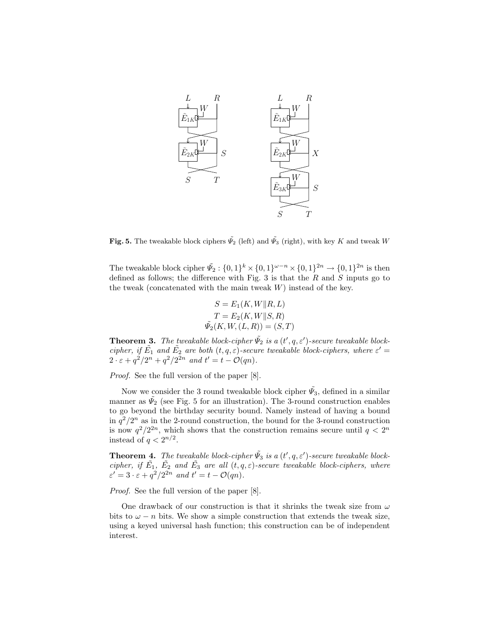

Fig. 5. The tweakable block ciphers  $\tilde{\Psi}_2$  (left) and  $\tilde{\Psi}_3$  (right), with key K and tweak W

The tweakable block cipher  $\tilde{\Psi}_2$ :  $\{0,1\}^k \times \{0,1\}^{\omega - n} \times \{0,1\}^{2n} \to \{0,1\}^{2n}$  is then defined as follows; the difference with Fig. 3 is that the  $R$  and  $S$  inputs go to the tweak (concatenated with the main tweak  $W$ ) instead of the key.

$$
S = E_1(K, W \| R, L)
$$

$$
T = E_2(K, W \| S, R)
$$

$$
\tilde{\Psi}_2(K, W, (L, R)) = (S, T)
$$

**Theorem 3.** The tweakable block-cipher  $\tilde{\Psi}_2$  is a  $(t', q, \varepsilon')$ -secure tweakable block*cipher, if*  $\tilde{E_1}$  *and*  $\tilde{E_2}$  *are both*  $(t, q, \varepsilon)$ *-secure tweakable block-ciphers, where*  $\varepsilon' =$  $2 \cdot \varepsilon + q^2/2^n + q^2/2^{2n}$  and  $t' = t - \mathcal{O}(qn)$ .

*Proof.* See the full version of the paper [8].

Now we consider the 3 round tweakable block cipher  $\tilde{\psi_3}$ , defined in a similar manner as  $\tilde{\Psi}_2$  (see Fig. 5 for an illustration). The 3-round construction enables to go beyond the birthday security bound. Namely instead of having a bound in  $q^2/2^n$  as in the 2-round construction, the bound for the 3-round construction is now  $q^2/2^{2n}$ , which shows that the construction remains secure until  $q < 2^n$ instead of  $q < 2^{n/2}$ .

**Theorem 4.** The tweakable block-cipher  $\tilde{\Psi}_3$  is a  $(t', q, \varepsilon')$ -secure tweakable block*cipher, if*  $\tilde{E_1}$ ,  $\tilde{E_2}$  *and*  $\tilde{E_3}$  *are all*  $(t, q, \varepsilon)$ *-secure tweakable block-ciphers, where*  $\varepsilon' = 3 \cdot \varepsilon + q^2/2^{2n}$  and  $t' = t - \mathcal{O}(qn)$ .

*Proof.* See the full version of the paper [8].

One drawback of our construction is that it shrinks the tweak size from  $\omega$ bits to  $\omega - n$  bits. We show a simple construction that extends the tweak size, using a keyed universal hash function; this construction can be of independent interest.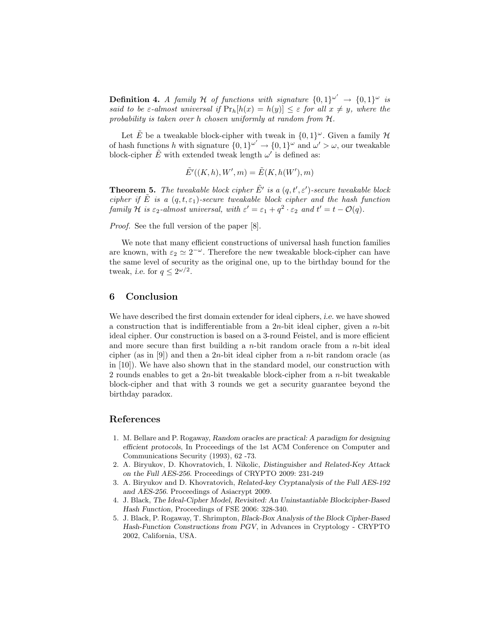**Definition 4.** A family H of functions with signature  $\{0,1\}^{\omega'} \rightarrow \{0,1\}^{\omega}$  is *said to be*  $\varepsilon$ -almost universal if  $Pr_h[h(x) = h(y)] \leq \varepsilon$  for all  $x \neq y$ , where the *probability is taken over* h *chosen uniformly at random from* H*.*

Let  $\tilde{E}$  be a tweakable block-cipher with tweak in  $\{0,1\}^{\omega}$ . Given a family  $\mathcal{H}$ of hash functions h with signature  $\{0,1\}^{\omega'} \to \{0,1\}^{\omega}$  and  $\omega' > \omega$ , our tweakable block-cipher  $\tilde{E}$  with extended tweak length  $\omega'$  is defined as:

$$
\tilde{E}'((K,h),W',m) = \tilde{E}(K,h(W'),m)
$$

**Theorem 5.** The tweakable block cipher  $\tilde{E}'$  is a  $(q, t', \varepsilon')$ -secure tweakable block *cipher if*  $\tilde{E}$  *is a*  $(q, t, \varepsilon_1)$ *-secure tweakable block cipher and the hash function family* H *is*  $\varepsilon_2$ -almost universal, with  $\varepsilon' = \varepsilon_1 + q^2 \cdot \varepsilon_2$  and  $t' = t - \mathcal{O}(q)$ .

*Proof.* See the full version of the paper [8].

We note that many efficient constructions of universal hash function families are known, with  $\varepsilon_2 \simeq 2^{-\omega}$ . Therefore the new tweakable block-cipher can have the same level of security as the original one, up to the birthday bound for the tweak, *i.e.* for  $q \leq 2^{\omega/2}$ .

# 6 Conclusion

We have described the first domain extender for ideal ciphers, i.e. we have showed a construction that is indifferentiable from a  $2n$ -bit ideal cipher, given a  $n$ -bit ideal cipher. Our construction is based on a 3-round Feistel, and is more efficient and more secure than first building a  $n$ -bit random oracle from a  $n$ -bit ideal cipher (as in [9]) and then a 2n-bit ideal cipher from a n-bit random oracle (as in [10]). We have also shown that in the standard model, our construction with 2 rounds enables to get a  $2n$ -bit tweakable block-cipher from a  $n$ -bit tweakable block-cipher and that with 3 rounds we get a security guarantee beyond the birthday paradox.

# References

- 1. M. Bellare and P. Rogaway, *Random oracles are practical: A paradigm for designing efficient protocols*, In Proceedings of the 1st ACM Conference on Computer and Communications Security (1993), 62 -73.
- 2. A. Biryukov, D. Khovratovich, I. Nikolic, *Distinguisher and Related-Key Attack on the Full AES-256*. Proceedings of CRYPTO 2009: 231-249
- 3. A. Biryukov and D. Khovratovich, *Related-key Cryptanalysis of the Full AES-192 and AES-256*. Proceedings of Asiacrypt 2009.
- 4. J. Black, *The Ideal-Cipher Model, Revisited: An Uninstantiable Blockcipher-Based Hash Function*, Proceedings of FSE 2006: 328-340.
- 5. J. Black, P. Rogaway, T. Shrimpton, *Black-Box Analysis of the Block Cipher-Based Hash-Function Constructions from PGV*, in Advances in Cryptology - CRYPTO 2002, California, USA.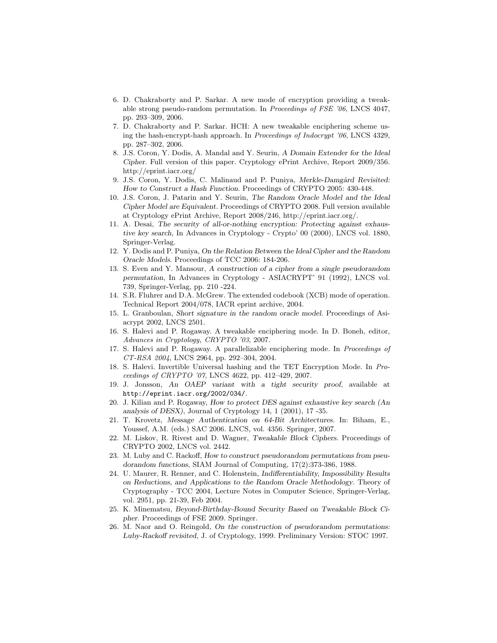- 6. D. Chakraborty and P. Sarkar. A new mode of encryption providing a tweakable strong pseudo-random permutation. In Proceedings of FSE '06, LNCS 4047, pp. 293–309, 2006.
- 7. D. Chakraborty and P. Sarkar. HCH: A new tweakable enciphering scheme using the hash-encrypt-hash approach. In Proceedings of Indocrypt '06, LNCS 4329, pp. 287–302, 2006.
- 8. J.S. Coron, Y. Dodis, A. Mandal and Y. Seurin, *A Domain Extender for the Ideal Cipher*. Full version of this paper. Cryptology ePrint Archive, Report 2009/356. http://eprint.iacr.org/
- 9. J.S. Coron, Y. Dodis, C. Malinaud and P. Puniya, *Merkle-Damgård Revisited: How to Construct a Hash Function*. Proceedings of CRYPTO 2005: 430-448.
- 10. J.S. Coron, J. Patarin and Y. Seurin, *The Random Oracle Model and the Ideal Cipher Model are Equivalent*. Proceedings of CRYPTO 2008. Full version available at Cryptology ePrint Archive, Report 2008/246, http://eprint.iacr.org/.
- 11. A. Desai, *The security of all-or-nothing encryption: Protecting against exhaustive key search*, In Advances in Cryptology - Crypto' 00 (2000), LNCS vol. 1880, Springer-Verlag.
- 12. Y. Dodis and P. Puniya, *On the Relation Between the Ideal Cipher and the Random Oracle Models*. Proceedings of TCC 2006: 184-206.
- 13. S. Even and Y. Mansour, *A construction of a cipher from a single pseudorandom permutation*, In Advances in Cryptology - ASIACRYPT' 91 (1992), LNCS vol. 739, Springer-Verlag, pp. 210 -224.
- 14. S.R. Fluhrer and D.A. McGrew. The extended codebook (XCB) mode of operation. Technical Report 2004/078, IACR eprint archive, 2004.
- 15. L. Granboulan, *Short signature in the random oracle model*. Proceedings of Asiacrypt 2002, LNCS 2501.
- 16. S. Halevi and P. Rogaway. A tweakable enciphering mode. In D. Boneh, editor, Advances in Cryptology, CRYPTO '03, 2007.
- 17. S. Halevi and P. Rogaway. A parallelizable enciphering mode. In Proceedings of CT-RSA 2004, LNCS 2964, pp. 292–304, 2004.
- 18. S. Halevi. Invertible Universal hashing and the TET Encryption Mode. In Proceedings of CRYPTO '07, LNCS 4622, pp. 412–429, 2007.
- 19. J. Jonsson, *An OAEP variant with a tight security proof*, available at http://eprint.iacr.org/2002/034/.
- 20. J. Kilian and P. Rogaway, *How to protect DES against exhaustive key search (An analysis of DESX)*, Journal of Cryptology 14, 1 (2001), 17 -35.
- 21. T. Krovetz, *Message Authentication on 64-Bit Architectures*. In: Biham, E., Youssef, A.M. (eds.) SAC 2006. LNCS, vol. 4356. Springer, 2007.
- 22. M. Liskov, R. Rivest and D. Wagner, *Tweakable Block Ciphers*. Proceedings of CRYPTO 2002, LNCS vol. 2442.
- 23. M. Luby and C. Rackoff, *How to construct pseudorandom permutations from pseudorandom functions*, SIAM Journal of Computing, 17(2):373-386, 1988.
- 24. U. Maurer, R. Renner, and C. Holenstein, *Indifferentiability, Impossibility Results on Reductions, and Applications to the Random Oracle Methodology*. Theory of Cryptography - TCC 2004, Lecture Notes in Computer Science, Springer-Verlag, vol. 2951, pp. 21-39, Feb 2004.
- 25. K. Minematsu, *Beyond-Birthday-Bound Security Based on Tweakable Block Cipher*. Proceedings of FSE 2009. Springer.
- 26. M. Naor and O. Reingold, *On the construction of pseudorandom permutations: Luby-Rackoff revisited*, J. of Cryptology, 1999. Preliminary Version: STOC 1997.